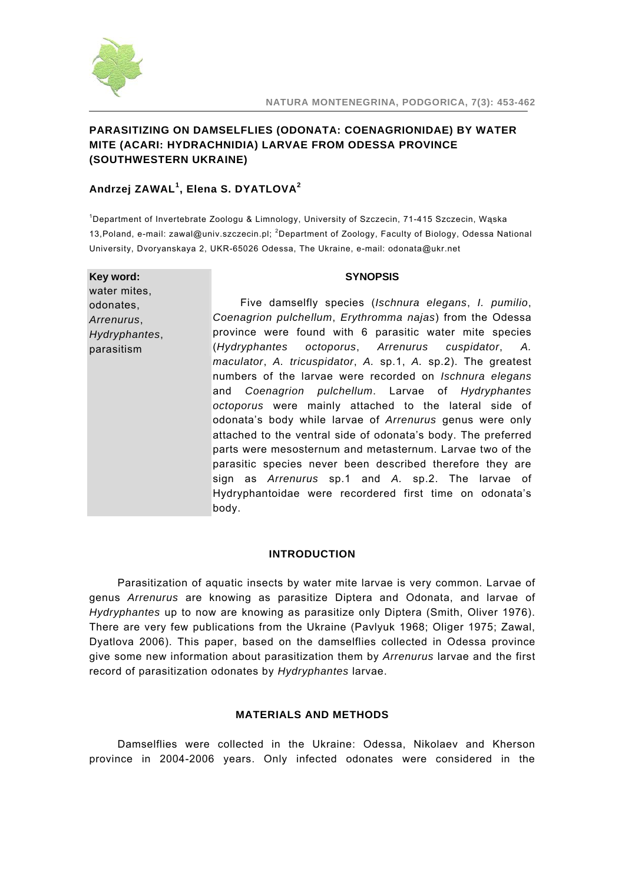

# **PARASITIZING ON DAMSELFLIES (ODONATA: COENAGRIONIDAE) BY WATER MITE (ACARI: HYDRACHNIDIA) LARVAE FROM ODESSA PROVINCE (SOUTHWESTERN UKRAINE)**

# **Andrzej ZAWAL<sup>1</sup> , Elena S. DYATLOVA<sup>2</sup>**

1 Department of Invertebrate Zoologu & Limnology, University of Szczecin, 71-415 Szczecin, Wąska 13,Poland, e-mail: zawal@univ.szczecin.pl; <sup>2</sup>Department of Zoology, Faculty of Biology, Odessa National University, Dvoryanskaya 2, UKR-65026 Odessa, The Ukraine, e-mail: odonata@ukr.net

### **Key word:**  water mites,

odonates, *Arrenurus*, *Hydryphantes*, parasitism

#### **SYNOPSIS**

Five damselfly species (*Ischnura elegans*, *I. pumilio*, *Coenagrion pulchellum*, *Erythromma najas*) from the Odessa province were found with 6 parasitic water mite species (*Hydryphantes octoporus*, *Arrenurus cuspidator*, *A. maculator*, *A. tricuspidator*, *A.* sp.1, *A.* sp.2). The greatest numbers of the larvae were recorded on *Ischnura elegans*  and *Coenagrion pulchellum*. Larvae of *Hydryphantes octoporus* were mainly attached to the lateral side of odonata's body while larvae of *Arrenurus* genus were only attached to the ventral side of odonata's body. The preferred parts were mesosternum and metasternum. Larvae two of the parasitic species never been described therefore they are sign as *Arrenurus* sp.1 and *A.* sp.2. The larvae of Hydryphantoidae were recordered first time on odonata's body.

## **INTRODUCTION**

Parasitization of aquatic insects by water mite larvae is very common. Larvae of genus *Arrenurus* are knowing as parasitize Diptera and Odonata, and larvae of *Hydryphantes* up to now are knowing as parasitize only Diptera (Smith, Oliver 1976). There are very few publications from the Ukraine (Pavlyuk 1968; Oliger 1975; Zawal, Dyatlova 2006). This paper, based on the damselflies collected in Odessa province give some new information about parasitization them by *Arrenurus* larvae and the first record of parasitization odonates by *Hydryphantes* larvae.

### **MATERIALS AND METHODS**

Damselflies were collected in the Ukraine: Odessa, Nikolaev and Kherson province in 2004-2006 years. Only infected odonates were considered in the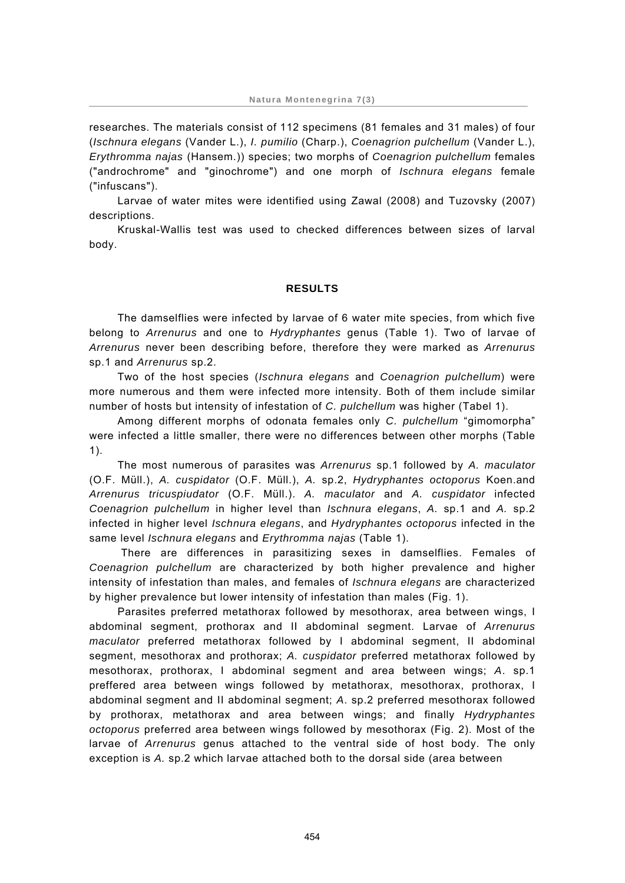researches. The materials consist of 112 specimens (81 females and 31 males) of four (*Ischnura elegans* (Vander L.), *I. pumilio* (Charp.), *Coenagrion pulchellum* (Vander L.), *Erythromma najas* (Hansem.)) species; two morphs of *Coenagrion pulchellum* females ("androchrome" and "ginochrome") and one morph of *Ischnura elegans* female ("infuscans").

Larvae of water mites were identified using Zawal (2008) and Tuzovsky (2007) descriptions.

Kruskal-Wallis test was used to checked differences between sizes of larval body.

#### **RESULTS**

The damselflies were infected by larvae of 6 water mite species, from which five belong to *Arrenurus* and one to *Hydryphantes* genus (Table 1). Two of larvae of *Arrenurus* never been describing before, therefore they were marked as *Arrenurus*  sp.1 and *Arrenurus* sp.2.

Two of the host species (*Ischnura elegans* and *Coenagrion pulchellum*) were more numerous and them were infected more intensity. Both of them include similar number of hosts but intensity of infestation of *C. pulchellum* was higher (Tabel 1).

Among different morphs of odonata females only *C. pulchellum* "gimomorpha" were infected a little smaller, there were no differences between other morphs (Table 1).

The most numerous of parasites was *Arrenurus* sp.1 followed by *A. maculator*  (O.F. Müll.), *A. cuspidator* (O.F. Müll.), *A.* sp.2, *Hydryphantes octoporus* Koen.and *Arrenurus tricuspiudator* (O.F. Müll.). *A. maculator* and *A. cuspidator* infected *Coenagrion pulchellum* in higher level than *Ischnura elegans*, *A.* sp.1 and *A.* sp.2 infected in higher level *Ischnura elegans*, and *Hydryphantes octoporus* infected in the same level *Ischnura elegans* and *Erythromma najas* (Table 1).

 There are differences in parasitizing sexes in damselflies. Females of *Coenagrion pulchellum* are characterized by both higher prevalence and higher intensity of infestation than males, and females of *Ischnura elegans* are characterized by higher prevalence but lower intensity of infestation than males (Fig. 1).

Parasites preferred metathorax followed by mesothorax, area between wings, I abdominal segment, prothorax and II abdominal segment. Larvae of *Arrenurus maculator* preferred metathorax followed by I abdominal segment, II abdominal segment, mesothorax and prothorax; *A. cuspidator* preferred metathorax followed by mesothorax, prothorax, I abdominal segment and area between wings; *A*. sp.1 preffered area between wings followed by metathorax, mesothorax, prothorax, I abdominal segment and II abdominal segment; *A*. sp.2 preferred mesothorax followed by prothorax, metathorax and area between wings; and finally *Hydryphantes octoporus* preferred area between wings followed by mesothorax (Fig. 2). Most of the larvae of *Arrenurus* genus attached to the ventral side of host body. The only exception is *A.* sp.2 which larvae attached both to the dorsal side (area between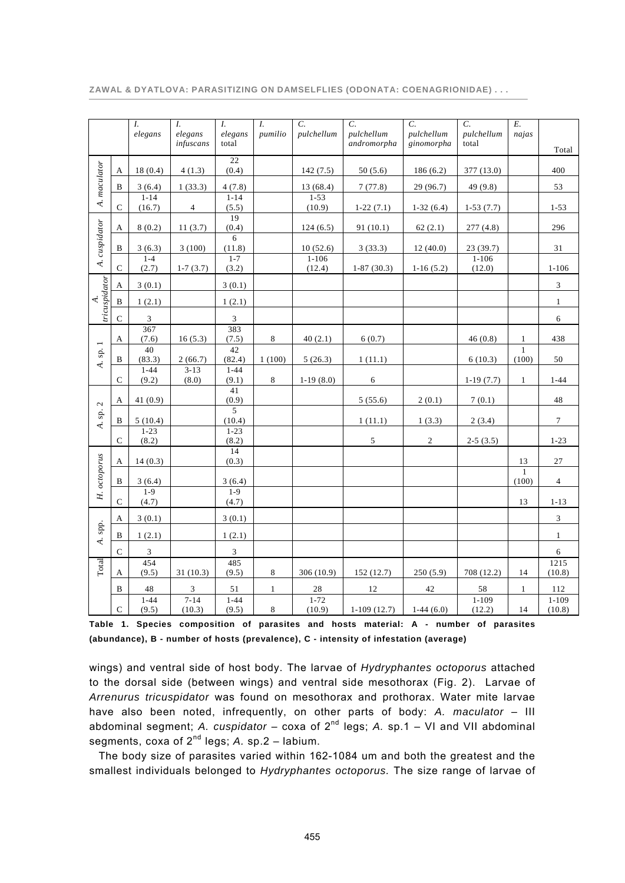|                                          |               | $I_{\cdot}$<br>elegans | $I_{\cdot}$<br>elegans<br>infuscans | $I_{\cdot}$<br>elegans<br>total | $I_{\cdot}$<br>pumilio | $\overline{C}$ .<br>pulchellum | $\overline{C}$ .<br>pulchellum<br>andromorpha | $\overline{C}$ .<br>pulchellum<br>ginomorpha | $\overline{C}$ .<br>pulchellum<br>total | Е.<br>najas           |                     |
|------------------------------------------|---------------|------------------------|-------------------------------------|---------------------------------|------------------------|--------------------------------|-----------------------------------------------|----------------------------------------------|-----------------------------------------|-----------------------|---------------------|
|                                          |               |                        |                                     |                                 |                        |                                |                                               |                                              |                                         |                       | Total               |
| A. maculator                             | A             | 18(0.4)                | 4(1.3)                              | $\overline{22}$<br>(0.4)        |                        | 142(7.5)                       | 50(5.6)                                       | 186(6.2)                                     | 377 (13.0)                              |                       | 400                 |
|                                          | B             | 3(6.4)                 | 1(33.3)                             | 4(7.8)                          |                        | 13 (68.4)                      | 7(77.8)                                       | 29 (96.7)                                    | 49 (9.8)                                |                       | 53                  |
|                                          | $\mathsf C$   | $1 - 14$<br>(16.7)     | 4                                   | $1 - 14$<br>(5.5)               |                        | $1 - 53$<br>(10.9)             | $1-22(7.1)$                                   | $1-32(6.4)$                                  | $1-53(7.7)$                             |                       | $1 - 53$            |
| A. cuspidator                            | A             | 8(0.2)                 | 11(3.7)                             | 19<br>(0.4)                     |                        | 124(6.5)                       | 91(10.1)                                      | 62(2.1)                                      | 277(4.8)                                |                       | 296                 |
|                                          | B             | 3(6.3)                 | 3(100)                              | 6<br>(11.8)                     |                        | 10(52.6)                       | 3(33.3)                                       | 12(40.0)                                     | 23(39.7)                                |                       | 31                  |
|                                          | ${\bf C}$     | $1 - 4$<br>(2.7)       | $1-7(3.7)$                          | $1 - 7$<br>(3.2)                |                        | $1 - 106$<br>(12.4)            | $1-87(30.3)$                                  | $1-16(5.2)$                                  | $1 - 106$<br>(12.0)                     |                       | $1 - 106$           |
| tricuspidator<br>4.                      | А             | 3(0.1)                 |                                     | 3(0.1)                          |                        |                                |                                               |                                              |                                         |                       | 3                   |
|                                          | $\, {\bf B}$  | 1(2.1)                 |                                     | 1(2.1)                          |                        |                                |                                               |                                              |                                         |                       | $\mathbf{1}$        |
|                                          | $\mathbf C$   | 3                      |                                     | $\ensuremath{\mathbf{3}}$       |                        |                                |                                               |                                              |                                         |                       | $\sqrt{6}$          |
| $\,$ sp. $1$<br>$\overline{\mathcal{A}}$ | A             | 367<br>(7.6)           | 16(5.3)                             | 383<br>(7.5)                    | 8                      | 40(2.1)                        | 6(0.7)                                        |                                              | 46(0.8)                                 | $\mathbf{1}$          | 438                 |
|                                          | B             | 40<br>(83.3)           | 2(66.7)                             | 42<br>(82.4)                    | 1(100)                 | 5(26.3)                        | 1(11.1)                                       |                                              | 6(10.3)                                 | $\mathbf{1}$<br>(100) | 50                  |
|                                          | $\mathsf{C}$  | $1 - 44$<br>(9.2)      | $3 - 13$<br>(8.0)                   | $1 - 44$<br>(9.1)               | $\,8\,$                | $1-19(8.0)$                    | 6                                             |                                              | $1-19(7.7)$                             | $\mathbf{1}$          | $1 - 44$            |
| A. sp. $2$                               | A             | 41(0.9)                |                                     | 41<br>(0.9)                     |                        |                                | 5(55.6)                                       | 2(0.1)                                       | 7(0.1)                                  |                       | 48                  |
|                                          | B             | 5(10.4)                |                                     | 5<br>(10.4)                     |                        |                                | 1(11.1)                                       | 1(3.3)                                       | 2(3.4)                                  |                       | $\tau$              |
|                                          | $\mathbf C$   | $1 - 23$<br>(8.2)      |                                     | $1 - 23$<br>(8.2)               |                        |                                | $\sqrt{5}$                                    | $\boldsymbol{2}$                             | $2-5(3.5)$                              |                       | $1 - 23$            |
| H. octoporus<br>A. spp.                  | A             | 14(0.3)                |                                     | 14<br>(0.3)                     |                        |                                |                                               |                                              |                                         | 13                    | $27\,$              |
|                                          | B             | 3(6.4)                 |                                     | 3(6.4)                          |                        |                                |                                               |                                              |                                         | $\mathbf{1}$<br>(100) | $\overline{4}$      |
|                                          |               | $1 - 9$                |                                     | $1-9$                           |                        |                                |                                               |                                              |                                         |                       |                     |
|                                          | $\mathbf C$   | (4.7)                  |                                     | (4.7)                           |                        |                                |                                               |                                              |                                         | 13                    | $1 - 13$            |
|                                          | А             | 3(0.1)                 |                                     | 3(0.1)                          |                        |                                |                                               |                                              |                                         |                       | $\mathfrak{Z}$      |
|                                          | B             | 1(2.1)                 |                                     | 1(2.1)                          |                        |                                |                                               |                                              |                                         |                       | $\mathbf{1}$        |
|                                          | $\mathcal{C}$ | 3                      |                                     | $\sqrt{3}$                      |                        |                                |                                               |                                              |                                         |                       | $\sqrt{6}$          |
| Total                                    | A             | 454<br>(9.5)           | 31(10.3)                            | 485<br>(9.5)                    | $\,8\,$                | 306 $(10.9)$                   | 152 (12.7)                                    | 250(5.9)                                     | 708 (12.2)                              | 14                    | 1215<br>(10.8)      |
|                                          | B             | 48                     | 3                                   | 51                              | $\mathbf{1}$           | $28\,$                         | 12                                            | 42                                           | 58                                      | $\mathbf{1}$          | 112                 |
|                                          | $\mathbf C$   | $1 - 44$<br>(9.5)      | $7 - 14$<br>(10.3)                  | $1 - 44$<br>(9.5)               | 8                      | $1 - 72$<br>(10.9)             | $1-109(12.7)$                                 | $1-44(6.0)$                                  | $1 - 109$<br>(12.2)                     | 14                    | $1 - 109$<br>(10.8) |

**Table 1. Species composition of parasites and hosts material: A - number of parasites (abundance), B - number of hosts (prevalence), C - intensity of infestation (average)** 

wings) and ventral side of host body. The larvae of *Hydryphantes octoporus* attached to the dorsal side (between wings) and ventral side mesothorax (Fig. 2). Larvae of *Arrenurus tricuspidator* was found on mesothorax and prothorax. Water mite larvae have also been noted, infrequently, on other parts of body: *A. maculator* – III abdominal segment; A. cuspidator – coxa of 2<sup>nd</sup> legs; A. sp.1 – VI and VII abdominal segments, coxa of 2nd legs; *A.* sp.2 – labium.

The body size of parasites varied within 162-1084 um and both the greatest and the smallest individuals belonged to *Hydryphantes octoporus.* The size range of larvae of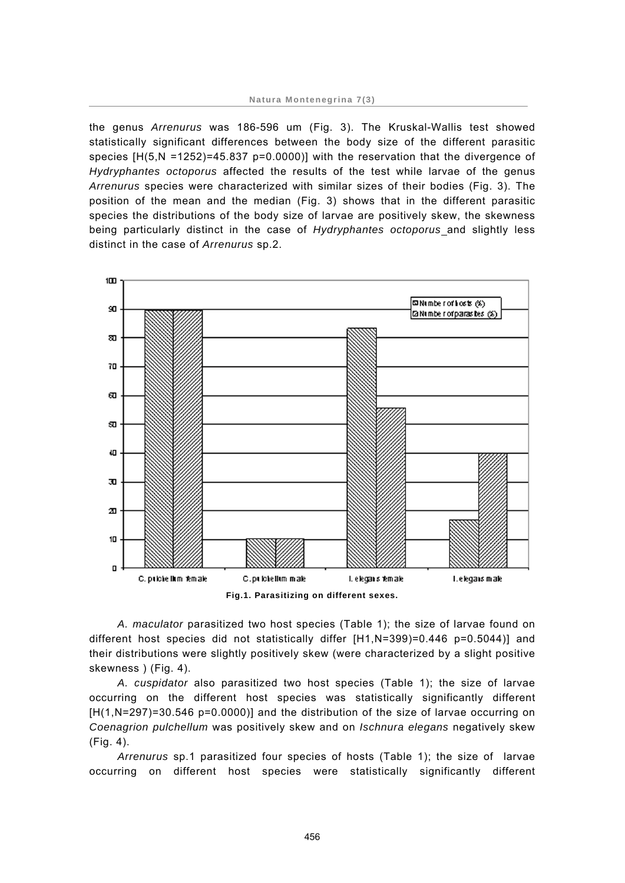the genus *Arrenurus* was 186-596 um (Fig. 3). The Kruskal-Wallis test showed statistically significant differences between the body size of the different parasitic species  $[H(5,N = 1252) = 45.837 p = 0.0000]$  with the reservation that the divergence of *Hydryphantes octoporus* affected the results of the test while larvae of the genus *Arrenurus* species were characterized with similar sizes of their bodies (Fig. 3). The position of the mean and the median (Fig. 3) shows that in the different parasitic species the distributions of the body size of larvae are positively skew, the skewness being particularly distinct in the case of *Hydryphantes octoporus* and slightly less distinct in the case of *Arrenurus* sp.2.



**Fig.1. Parasitizing on different sexes.** 

*A. maculator* parasitized two host species (Table 1); the size of larvae found on different host species did not statistically differ [H1,N=399)=0.446 p=0.5044)] and their distributions were slightly positively skew (were characterized by a slight positive skewness ) (Fig. 4).

*A. cuspidator* also parasitized two host species (Table 1); the size of larvae occurring on the different host species was statistically significantly different [H(1,N=297)=30.546 p=0.0000)] and the distribution of the size of larvae occurring on *Coenagrion pulchellum* was positively skew and on *Ischnura elegans* negatively skew (Fig. 4).

*Arrenurus* sp.1 parasitized four species of hosts (Table 1); the size of larvae occurring on different host species were statistically significantly different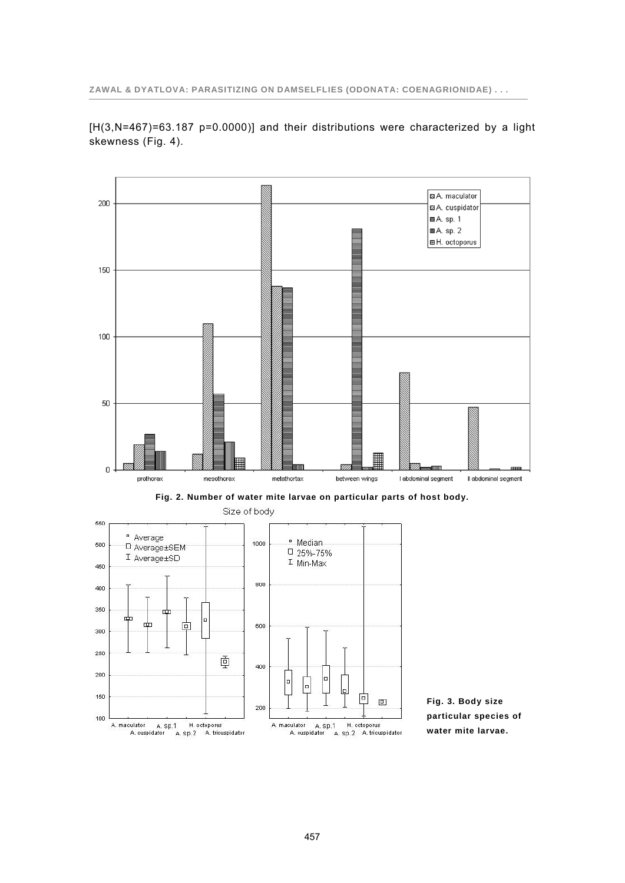[H(3,N=467)=63.187 p=0.0000)] and their distributions were characterized by a light skewness (Fig. 4).

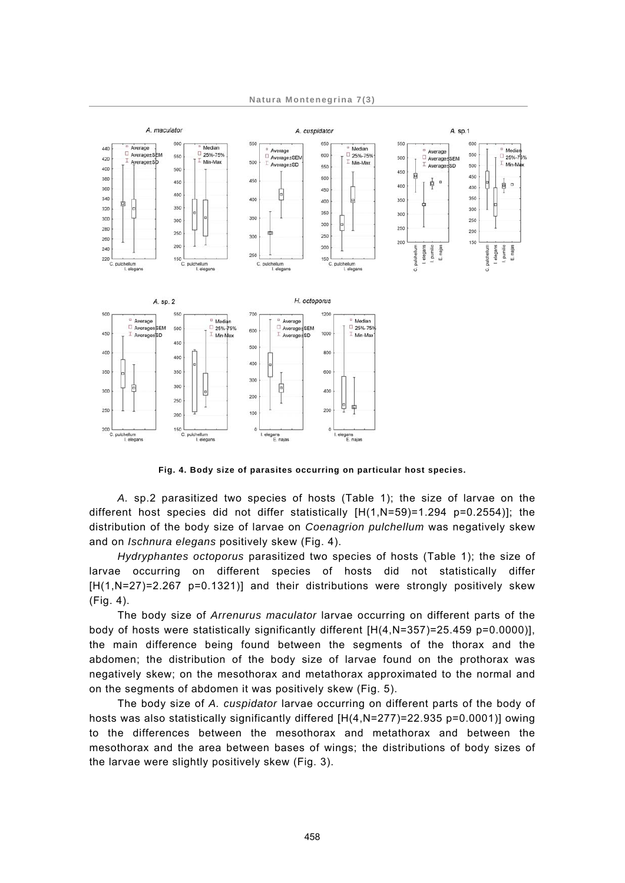

**Fig. 4. Body size of parasites occurring on particular host species.**

*A.* sp.2 parasitized two species of hosts (Table 1); the size of larvae on the different host species did not differ statistically  $[H(1,N=59)=1.294 \text{ p}=0.2554]$ ; the distribution of the body size of larvae on *Coenagrion pulchellum* was negatively skew and on *Ischnura elegans* positively skew (Fig. 4).

*Hydryphantes octoporus* parasitized two species of hosts (Table 1); the size of larvae occurring on different species of hosts did not statistically differ [H(1,N=27)=2.267 p=0.1321)] and their distributions were strongly positively skew (Fig. 4).

The body size of *Arrenurus maculator* larvae occurring on different parts of the body of hosts were statistically significantly different [H(4,N=357)=25.459 p=0.0000)], the main difference being found between the segments of the thorax and the abdomen; the distribution of the body size of larvae found on the prothorax was negatively skew; on the mesothorax and metathorax approximated to the normal and on the segments of abdomen it was positively skew (Fig. 5).

The body size of *A. cuspidator* larvae occurring on different parts of the body of hosts was also statistically significantly differed  $[H(4,N=277)=22.935$  p=0.0001)] owing to the differences between the mesothorax and metathorax and between the mesothorax and the area between bases of wings; the distributions of body sizes of the larvae were slightly positively skew (Fig. 3).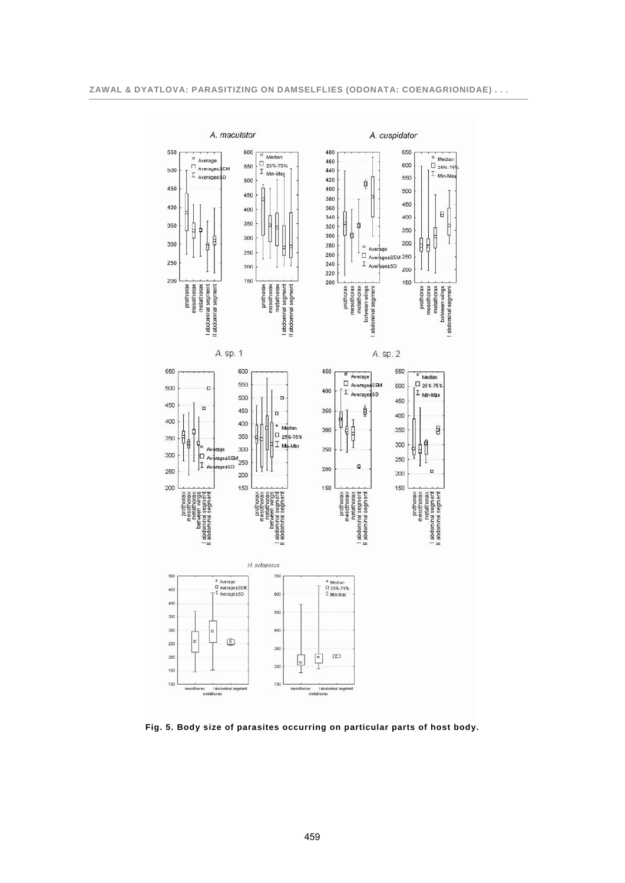

**Fig. 5. Body size of parasites occurring on particular parts of host body.**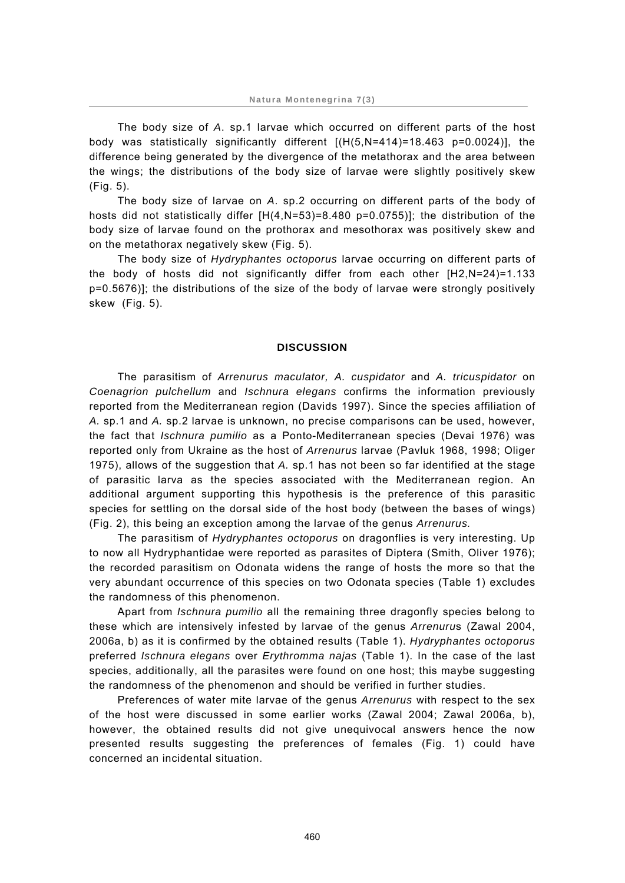The body size of *A*. sp.1 larvae which occurred on different parts of the host body was statistically significantly different [(H(5,N=414)=18.463 p=0.0024)], the difference being generated by the divergence of the metathorax and the area between the wings; the distributions of the body size of larvae were slightly positively skew (Fig. 5).

The body size of larvae on *A*. sp.2 occurring on different parts of the body of hosts did not statistically differ  $[H(4,N=53)=8.480 \text{ p}=0.0755]$ ; the distribution of the body size of larvae found on the prothorax and mesothorax was positively skew and on the metathorax negatively skew (Fig. 5).

The body size of *Hydryphantes octoporus* larvae occurring on different parts of the body of hosts did not significantly differ from each other [H2,N=24)=1.133 p=0.5676)]; the distributions of the size of the body of larvae were strongly positively skew (Fig. 5).

#### **DISCUSSION**

The parasitism of *Arrenurus maculator, A. cuspidator* and *A. tricuspidator* on *Coenagrion pulchellum* and *Ischnura elegans* confirms the information previously reported from the Mediterranean region (Davids 1997). Since the species affiliation of *A.* sp.1 and *A.* sp.2 larvae is unknown, no precise comparisons can be used, however, the fact that *Ischnura pumilio* as a Ponto-Mediterranean species (Devai 1976) was reported only from Ukraine as the host of *Arrenurus* larvae (Pavluk 1968, 1998; Oliger 1975), allows of the suggestion that *A.* sp.1 has not been so far identified at the stage of parasitic larva as the species associated with the Mediterranean region. An additional argument supporting this hypothesis is the preference of this parasitic species for settling on the dorsal side of the host body (between the bases of wings) (Fig. 2), this being an exception among the larvae of the genus *Arrenurus.*

The parasitism of *Hydryphantes octoporus* on dragonflies is very interesting. Up to now all Hydryphantidae were reported as parasites of Diptera (Smith, Oliver 1976); the recorded parasitism on Odonata widens the range of hosts the more so that the very abundant occurrence of this species on two Odonata species (Table 1) excludes the randomness of this phenomenon.

Apart from *Ischnura pumilio* all the remaining three dragonfly species belong to these which are intensively infested by larvae of the genus *Arrenuru*s (Zawal 2004, 2006a, b) as it is confirmed by the obtained results (Table 1). *Hydryphantes octoporus* preferred *Ischnura elegans* over *Erythromma najas* (Table 1). In the case of the last species, additionally, all the parasites were found on one host; this maybe suggesting the randomness of the phenomenon and should be verified in further studies.

Preferences of water mite larvae of the genus *Arrenurus* with respect to the sex of the host were discussed in some earlier works (Zawal 2004; Zawal 2006a, b), however, the obtained results did not give unequivocal answers hence the now presented results suggesting the preferences of females (Fig. 1) could have concerned an incidental situation.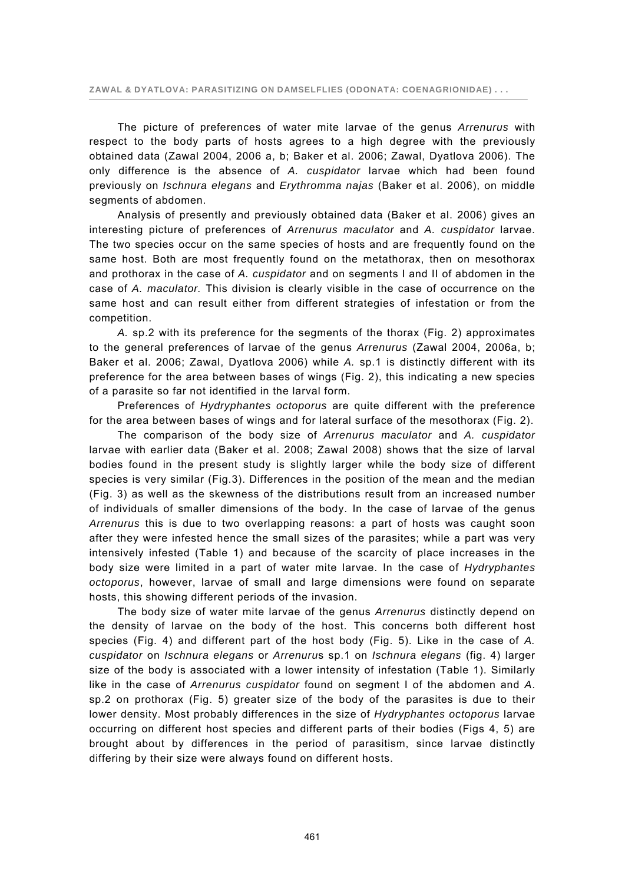The picture of preferences of water mite larvae of the genus *Arrenurus* with respect to the body parts of hosts agrees to a high degree with the previously obtained data (Zawal 2004, 2006 a, b; Baker et al. 2006; Zawal, Dyatlova 2006). The only difference is the absence of *A. cuspidator* larvae which had been found previously on *Ischnura elegans* and *Erythromma najas* (Baker et al. 2006), on middle segments of abdomen.

Analysis of presently and previously obtained data (Baker et al. 2006) gives an interesting picture of preferences of *Arrenurus maculator* and *A. cuspidator* larvae. The two species occur on the same species of hosts and are frequently found on the same host. Both are most frequently found on the metathorax, then on mesothorax and prothorax in the case of *A. cuspidator* and on segments I and II of abdomen in the case of *A. maculator.* This division is clearly visible in the case of occurrence on the same host and can result either from different strategies of infestation or from the competition.

*A.* sp.2 with its preference for the segments of the thorax (Fig. 2) approximates to the general preferences of larvae of the genus *Arrenurus* (Zawal 2004, 2006a, b; Baker et al. 2006; Zawal, Dyatlova 2006) while *A.* sp.1 is distinctly different with its preference for the area between bases of wings (Fig. 2), this indicating a new species of a parasite so far not identified in the larval form.

Preferences of *Hydryphantes octoporus* are quite different with the preference for the area between bases of wings and for lateral surface of the mesothorax (Fig. 2).

The comparison of the body size of *Arrenurus maculator* and *A. cuspidator* larvae with earlier data (Baker et al. 2008; Zawal 2008) shows that the size of larval bodies found in the present study is slightly larger while the body size of different species is very similar (Fig.3). Differences in the position of the mean and the median (Fig. 3) as well as the skewness of the distributions result from an increased number of individuals of smaller dimensions of the body. In the case of larvae of the genus *Arrenurus* this is due to two overlapping reasons: a part of hosts was caught soon after they were infested hence the small sizes of the parasites; while a part was very intensively infested (Table 1) and because of the scarcity of place increases in the body size were limited in a part of water mite larvae. In the case of *Hydryphantes octoporus*, however, larvae of small and large dimensions were found on separate hosts, this showing different periods of the invasion.

The body size of water mite larvae of the genus *Arrenurus* distinctly depend on the density of larvae on the body of the host. This concerns both different host species (Fig. 4) and different part of the host body (Fig. 5). Like in the case of *A. cuspidator* on *Ischnura elegans* or *Arrenuru*s sp.1 on *Ischnura elegans* (fig. 4) larger size of the body is associated with a lower intensity of infestation (Table 1). Similarly like in the case of *Arrenurus cuspidator* found on segment I of the abdomen and *A*. sp.2 on prothorax (Fig. 5) greater size of the body of the parasites is due to their lower density. Most probably differences in the size of *Hydryphantes octoporus* larvae occurring on different host species and different parts of their bodies (Figs 4, 5) are brought about by differences in the period of parasitism, since larvae distinctly differing by their size were always found on different hosts.